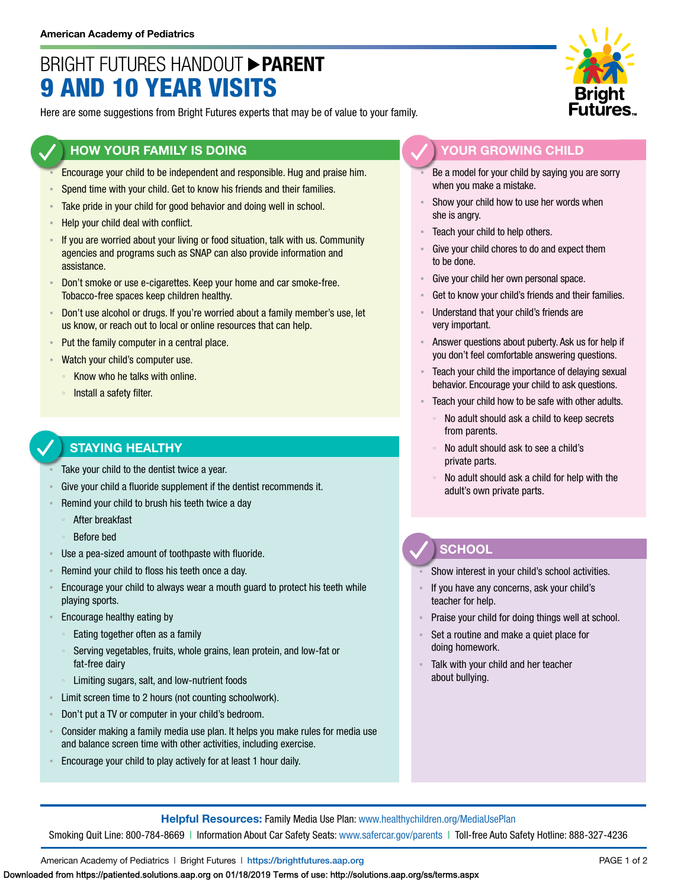# BRIGHT FUTURES HANDOUT **PARENT** 9 AND 10 YEAR VISITS

Here are some suggestions from Bright Futures experts that may be of value to your family.

#### **HOW YOUR FAMILY IS DOING**

- Encourage your child to be independent and responsible. Hug and praise him.
- Spend time with your child. Get to know his friends and their families.
- Take pride in your child for good behavior and doing well in school.
- Help your child deal with conflict.
- If you are worried about your living or food situation, talk with us. Community agencies and programs such as SNAP can also provide information and assistance.
- Don't smoke or use e-cigarettes. Keep your home and car smoke-free. Tobacco-free spaces keep children healthy.
- **EXED** Don't use alcohol or drugs. If you're worried about a family member's use, let us know, or reach out to local or online resources that can help.
- Put the family computer in a central place.
- **EXECT** Vatch your child's computer use.
	- Know who he talks with online.
	- Install a safety filter.

## **STAYING HEALTHY**

- Take your child to the dentist twice a year.
- Give your child a fluoride supplement if the dentist recommends it.
- Remind your child to brush his teeth twice a day
	- After breakfast
	- Before bed
- Use a pea-sized amount of toothpaste with fluoride.
- Remind your child to floss his teeth once a day.
- **Encourage your child to always wear a mouth guard to protect his teeth while** playing sports.
- Encourage healthy eating by
	- Eating together often as a family
	- Serving vegetables, fruits, whole grains, lean protein, and low-fat or fat-free dairy
	- Limiting sugars, salt, and low-nutrient foods
- Limit screen time to 2 hours (not counting schoolwork).
- Don't put a TV or computer in your child's bedroom.
- Consider making a family media use plan. It helps you make rules for media use and balance screen time with other activities, including exercise.
- Encourage your child to play actively for at least 1 hour daily.



### **YOUR GROWING CHILD**

- Be a model for your child by saying you are sorry when you make a mistake.
- Show your child how to use her words when she is angry.
- Teach your child to help others.
- Give your child chores to do and expect them to be done.
- Give your child her own personal space.
- Get to know your child's friends and their families.
- Understand that your child's friends are very important.
- Answer questions about puberty. Ask us for help if you don't feel comfortable answering questions.
- Teach your child the importance of delaying sexual behavior. Encourage your child to ask questions.
- Teach your child how to be safe with other adults.
	- No adult should ask a child to keep secrets from parents.
	- No adult should ask to see a child's private parts.
	- No adult should ask a child for help with the adult's own private parts.

## **SCHOOL**

Show interest in your child's school activities.

- If you have any concerns, ask your child's teacher for help.
- Praise your child for doing things well at school.
- Set a routine and make a quiet place for doing homework.
- Talk with your child and her teacher about bullying.

**Helpful Resources:** Family Media Use Plan: [www.healthychildren.org/MediaUsePlan](https://www.healthychildren.org/English/media/Pages/default.aspx)

Smoking Quit Line: 800-784-8669 | Information About Car Safety Seats: [www.safercar.gov/parents](https://www.nhtsa.gov/parents-and-caregivers) | Toll-free Auto Safety Hotline: 888-327-4236

American Academy of Pediatrics | Bright Futures | https://[brightfutures.aap.org](https://brightfutures.aap.org/Pages/default.aspx) PAGE 1 of 2

Downloaded from https://patiented.solutions.aap.org on 01/18/2019 Terms of use: http://solutions.aap.org/ss/terms.aspx